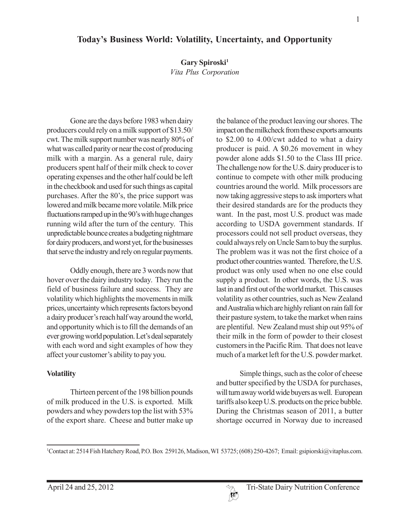# **Today's Business World: Volatility, Uncertainty, and Opportunity**

**Gary Spiroski1**

*Vita Plus Corporation*

Gone are the days before 1983 when dairy producers could rely on a milk support of \$13.50/ cwt. The milk support number was nearly 80% of what was called parity or near the cost of producing milk with a margin. As a general rule, dairy producers spent half of their milk check to cover operating expenses and the other half could be left in the checkbook and used for such things as capital purchases. After the 80's, the price support was lowered and milk became more volatile. Milk price fluctuations ramped up in the 90's with huge changes running wild after the turn of the century. This unpredictable bounce creates a budgeting nightmare for dairy producers, and worst yet, for the businesses that serve the industry and rely on regular payments.

Oddly enough, there are 3 words now that hover over the dairy industry today. They run the field of business failure and success. They are volatility which highlights the movements in milk prices, uncertainty which represents factors beyond a dairy producer's reach half way around the world, and opportunity which is to fill the demands of an ever growing world population. Let's deal separately with each word and sight examples of how they affect your customer's ability to pay you.

## **Volatility**

Thirteen percent of the 198 billion pounds of milk produced in the U.S. is exported. Milk powders and whey powders top the list with 53% of the export share. Cheese and butter make up

the balance of the product leaving our shores. The impact on the milkcheck from these exports amounts to \$2.00 to 4.00/cwt added to what a dairy producer is paid. A \$0.26 movement in whey powder alone adds \$1.50 to the Class III price. The challenge now for the U.S. dairy producer is to continue to compete with other milk producing countries around the world. Milk processors are now taking aggressive steps to ask importers what their desired standards are for the products they want. In the past, most U.S. product was made according to USDA government standards. If processors could not sell product overseas, they could always rely on Uncle Sam to buy the surplus. The problem was it was not the first choice of a product other countries wanted. Therefore, the U.S. product was only used when no one else could supply a product. In other words, the U.S. was last in and first out of the world market. This causes volatility as other countries, such as New Zealand and Australia which are highly reliant on rain fall for their pasture system, to take the market when rains are plentiful. New Zealand must ship out 95% of their milk in the form of powder to their closest customers in the Pacific Rim. That does not leave much of a market left for the U.S. powder market.

Simple things, such as the color of cheese and butter specified by the USDA for purchases, will turn away world wide buyers as well. European tariffs also keep U.S. products on the price bubble. During the Christmas season of 2011, a butter shortage occurred in Norway due to increased



<sup>1</sup> Contact at: 2514 Fish Hatchery Road, P.O. Box 259126, Madison, WI 53725; (608) 250-4267; Email: gsipiorski@vitaplus.com.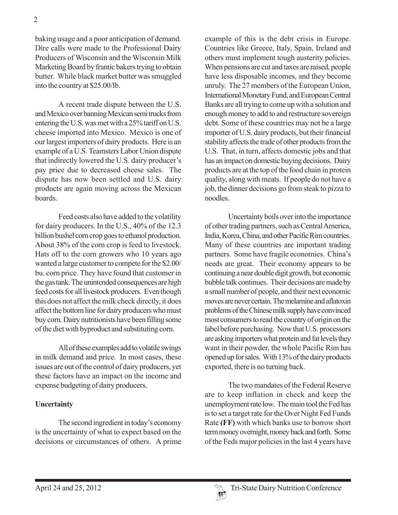baking usage and a poor anticipation of demand. Dire calls were made to the Professional Dairy Producers of Wisconsin and the Wisconsin Milk Marketing Board by frantic bakers trying to obtain butter. While black market butter was smuggled into the country at \$25.00/lb.

A recent trade dispute between the U.S. and Mexico over banning Mexican semi trucks from entering the U.S. was met with a 25% tariff on U.S. cheese imported into Mexico. Mexico is one of our largest importers of dairy products. Here is an example of a U.S. Teamsters Labor Union dispute that indirectly lowered the U.S. dairy producer's pay price due to decreased cheese sales. The dispute has now been settled and U.S. dairy products are again moving across the Mexican **boards** 

Feed costs also have added to the volatility for dairy producers. In the U.S., 40% of the 12.3 billion bushel corn crop goes to ethanol production. About 38% of the corn crop is feed to livestock. Hats off to the corn growers who 10 years ago wanted a large customer to compete for the \$2.00/ bu. corn price. They have found that customer in the gas tank. The unintended consequences are high feed costs for all livestock producers. Even though this does not affect the milk check directly, it does affect the bottom line for dairy producers who must buy corn. Dairy nutritionists have been filling some of the diet with byproduct and substituting corn.

All of these examples add to volatile swings in milk demand and price. In most cases, these issues are out of the control of dairy producers, yet these factors have an impact on the income and expense budgeting of dairy producers.

## **Uncertainty**

The second ingredient in today's economy is the uncertainty of what to expect based on the decisions or circumstances of others. A prime example of this is the debt crisis in Europe. Countries like Greece, Italy, Spain, Ireland and others must implement tough austerity policies. When pensions are cut and taxes are raised, people have less disposable incomes, and they become unruly. The 27 members of the European Union, International Monetary Fund, and European Central Banks are all trying to come up with a solution and enough money to add to and restructure sovereign debt. Some of these countries may not be a large importer of U.S. dairy products, but their financial stability affects the trade of other products from the U.S. That, in turn, affects domestic jobs and that has an impact on domestic buying decisions. Dairy products are at the top of the food chain in protein quality, along with meats. If people do not have a job, the dinner decisions go from steak to pizza to noodles.

Uncertainty boils over into the importance of other trading partners, such as Central America, India, Korea, China, and other Pacific Rim countries. Many of these countries are important trading partners. Some have fragile economies. China's needs are great. Their economy appears to be continuing a near double digit growth, but economic bubble talk continues. Their decisions are made by a small number of people, and their next economic moves are never certain. The melamine and aflatoxin problems of the Chinese milk supply have convinced most consumers to read the country of origin on the label before purchasing. Now that U.S. processors are asking importers what protein and fat levels they want in their powder, the whole Pacific Rim has opened up for sales. With 13% of the dairy products exported, there is no turning back.

The two mandates of the Federal Reserve are to keep inflation in check and keep the unemployment rate low. The main tool the Fed has is to set a target rate for the Over Night Fed Funds Rate **(FF)** with which banks use to borrow short term money overnight, money back and forth. Some of the Feds major policies in the last 4 years have

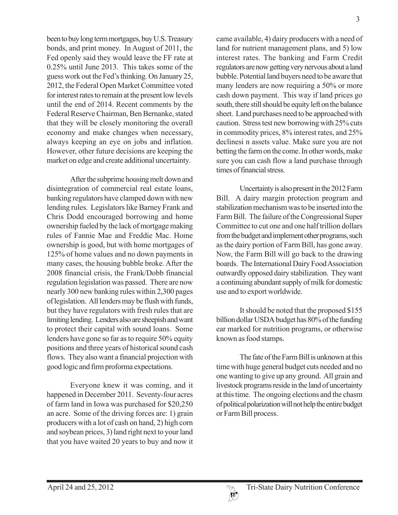been to buy long term mortgages, buy U.S. Treasury bonds, and print money. In August of 2011, the Fed openly said they would leave the FF rate at 0.25% until June 2013. This takes some of the guess work out the Fed's thinking. On January 25, 2012, the Federal Open Market Committee voted for interest rates to remain at the present low levels until the end of 2014. Recent comments by the Federal Reserve Chairman, Ben Bernanke, stated that they will be closely monitoring the overall economy and make changes when necessary, always keeping an eye on jobs and inflation. However, other future decisions are keeping the market on edge and create additional uncertainty.

After the subprime housing melt down and disintegration of commercial real estate loans, banking regulators have clamped down with new lending rules. Legislators like Barney Frank and Chris Dodd encouraged borrowing and home ownership fueled by the lack of mortgage making rules of Fannie Mae and Freddie Mac. Home ownership is good, but with home mortgages of 125% of home values and no down payments in many cases, the housing bubble broke. After the 2008 financial crisis, the Frank/Dobb financial regulation legislation was passed. There are now nearly 300 new banking rules within 2,300 pages of legislation. All lenders may be flush with funds, but they have regulators with fresh rules that are limiting lending. Lenders also are sheepish and want to protect their capital with sound loans. Some lenders have gone so far as to require 50% equity positions and three years of historical sound cash flows. They also want a financial projection with good logic and firm proforma expectations.

Everyone knew it was coming, and it happened in December 2011. Seventy-four acres of farm land in Iowa was purchased for \$20,250 an acre. Some of the driving forces are: 1) grain producers with a lot of cash on hand, 2) high corn and soybean prices, 3) land right next to your land that you have waited 20 years to buy and now it came available, 4) dairy producers with a need of land for nutrient management plans, and 5) low interest rates. The banking and Farm Credit regulators are now getting very nervous about a land bubble. Potential land buyers need to be aware that many lenders are now requiring a 50% or more cash down payment. This way if land prices go south, there still should be equity left on the balance sheet. Land purchases need to be approached with caution. Stress test new borrowing with 25% cuts in commodity prices, 8% interest rates, and 25% declinesi n assets value. Make sure you are not betting the farm on the come. In other words, make sure you can cash flow a land purchase through times of financial stress.

Uncertainty is also present in the 2012 Farm Bill. A dairy margin protection program and stabilization mechanism was to be inserted into the Farm Bill. The failure of the Congressional Super Committee to cut one and one half trillion dollars from the budget and implement other programs, such as the dairy portion of Farm Bill, has gone away. Now, the Farm Bill will go back to the drawing boards. The International Dairy Food Association outwardly opposed dairy stabilization. They want a continuing abundant supply of milk for domestic use and to export worldwide.

It should be noted that the proposed \$155 billion dollar USDA budget has 80% of the funding ear marked for nutrition programs, or otherwise known as food stamps.

The fate of the Farm Bill is unknown at this time with huge general budget cuts needed and no one wanting to give up any ground. All grain and livestock programs reside in the land of uncertainty at this time. The ongoing elections and the chasm of political polarization will not help the entire budget or Farm Bill process.